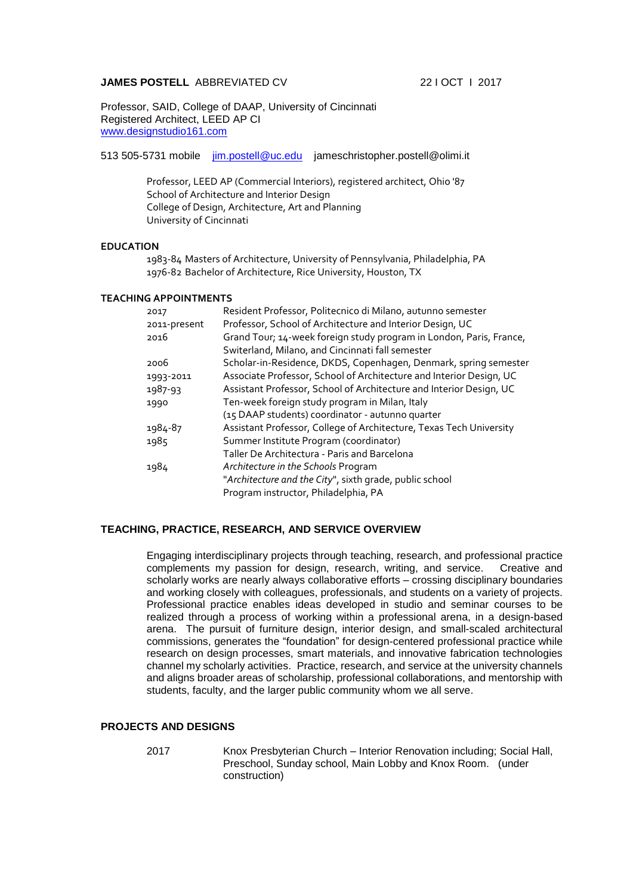# **JAMES POSTELL** ABBREVIATED CV 22 I OCT 1 2017

Professor, SAID, College of DAAP, University of Cincinnati Registered Architect, LEED AP CI [www.designstudio161.com](http://www.designstudio161.com/)

513 505-5731 mobile [jim.postell@uc.edu](mailto:jim.postell@uc.edu) jameschristopher.postell@olimi.it

Professor, LEED AP (Commercial Interiors), registered architect, Ohio '87 School of Architecture and Interior Design College of Design, Architecture, Art and Planning University of Cincinnati

#### **EDUCATION**

1983-84 Masters of Architecture, University of Pennsylvania, Philadelphia, PA 1976-82 Bachelor of Architecture, Rice University, Houston, TX

#### **TEACHING APPOINTMENTS**

| 2017         | Resident Professor, Politecnico di Milano, autunno semester         |
|--------------|---------------------------------------------------------------------|
| 2011-present | Professor, School of Architecture and Interior Design, UC           |
| 2016         | Grand Tour; 14-week foreign study program in London, Paris, France, |
|              | Switerland, Milano, and Cincinnati fall semester                    |
| 2006         | Scholar-in-Residence, DKDS, Copenhagen, Denmark, spring semester    |
| 1993-2011    | Associate Professor, School of Architecture and Interior Design, UC |
| 1987-93      | Assistant Professor, School of Architecture and Interior Design, UC |
| 1990         | Ten-week foreign study program in Milan, Italy                      |
|              | (15 DAAP students) coordinator - autunno quarter                    |
| 1984-87      | Assistant Professor, College of Architecture, Texas Tech University |
| 1985         | Summer Institute Program (coordinator)                              |
|              | Taller De Architectura - Paris and Barcelona                        |
| 1984         | Architecture in the Schools Program                                 |
|              | "Architecture and the City", sixth grade, public school             |
|              | Program instructor, Philadelphia, PA                                |
|              |                                                                     |

#### **TEACHING, PRACTICE, RESEARCH, AND SERVICE OVERVIEW**

Engaging interdisciplinary projects through teaching, research, and professional practice complements my passion for design, research, writing, and service. Creative and scholarly works are nearly always collaborative efforts – crossing disciplinary boundaries and working closely with colleagues, professionals, and students on a variety of projects. Professional practice enables ideas developed in studio and seminar courses to be realized through a process of working within a professional arena, in a design-based arena. The pursuit of furniture design, interior design, and small-scaled architectural commissions, generates the "foundation" for design-centered professional practice while research on design processes, smart materials, and innovative fabrication technologies channel my scholarly activities. Practice, research, and service at the university channels and aligns broader areas of scholarship, professional collaborations, and mentorship with students, faculty, and the larger public community whom we all serve.

# **PROJECTS AND DESIGNS**

2017 Knox Presbyterian Church – Interior Renovation including; Social Hall, Preschool, Sunday school, Main Lobby and Knox Room. (under construction)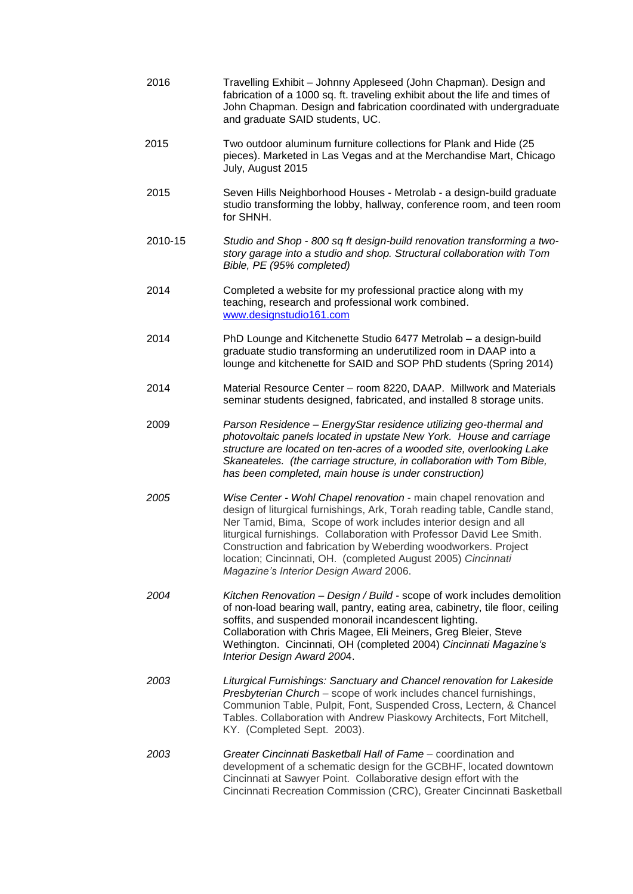| 2016    | Travelling Exhibit - Johnny Appleseed (John Chapman). Design and<br>fabrication of a 1000 sq. ft. traveling exhibit about the life and times of<br>John Chapman. Design and fabrication coordinated with undergraduate<br>and graduate SAID students, UC.                                                                                                                                                                                                              |
|---------|------------------------------------------------------------------------------------------------------------------------------------------------------------------------------------------------------------------------------------------------------------------------------------------------------------------------------------------------------------------------------------------------------------------------------------------------------------------------|
| 2015    | Two outdoor aluminum furniture collections for Plank and Hide (25<br>pieces). Marketed in Las Vegas and at the Merchandise Mart, Chicago<br>July, August 2015                                                                                                                                                                                                                                                                                                          |
| 2015    | Seven Hills Neighborhood Houses - Metrolab - a design-build graduate<br>studio transforming the lobby, hallway, conference room, and teen room<br>for SHNH.                                                                                                                                                                                                                                                                                                            |
| 2010-15 | Studio and Shop - 800 sq ft design-build renovation transforming a two-<br>story garage into a studio and shop. Structural collaboration with Tom<br>Bible, PE (95% completed)                                                                                                                                                                                                                                                                                         |
| 2014    | Completed a website for my professional practice along with my<br>teaching, research and professional work combined.<br>www.designstudio161.com                                                                                                                                                                                                                                                                                                                        |
| 2014    | PhD Lounge and Kitchenette Studio 6477 Metrolab - a design-build<br>graduate studio transforming an underutilized room in DAAP into a<br>lounge and kitchenette for SAID and SOP PhD students (Spring 2014)                                                                                                                                                                                                                                                            |
| 2014    | Material Resource Center - room 8220, DAAP. Millwork and Materials<br>seminar students designed, fabricated, and installed 8 storage units.                                                                                                                                                                                                                                                                                                                            |
| 2009    | Parson Residence - EnergyStar residence utilizing geo-thermal and<br>photovoltaic panels located in upstate New York. House and carriage<br>structure are located on ten-acres of a wooded site, overlooking Lake<br>Skaneateles. (the carriage structure, in collaboration with Tom Bible,<br>has been completed, main house is under construction)                                                                                                                   |
| 2005    | Wise Center - Wohl Chapel renovation - main chapel renovation and<br>design of liturgical furnishings, Ark, Torah reading table, Candle stand,<br>Ner Tamid, Bima, Scope of work includes interior design and all<br>liturgical furnishings. Collaboration with Professor David Lee Smith.<br>Construction and fabrication by Weberding woodworkers. Project<br>location; Cincinnati, OH. (completed August 2005) Cincinnati<br>Magazine's Interior Design Award 2006. |
| 2004    | Kitchen Renovation - Design / Build - scope of work includes demolition<br>of non-load bearing wall, pantry, eating area, cabinetry, tile floor, ceiling<br>soffits, and suspended monorail incandescent lighting.<br>Collaboration with Chris Magee, Eli Meiners, Greg Bleier, Steve<br>Wethington. Cincinnati, OH (completed 2004) Cincinnati Magazine's<br>Interior Design Award 2004.                                                                              |
| 2003    | Liturgical Furnishings: Sanctuary and Chancel renovation for Lakeside<br>Presbyterian Church - scope of work includes chancel furnishings,<br>Communion Table, Pulpit, Font, Suspended Cross, Lectern, & Chancel<br>Tables. Collaboration with Andrew Piaskowy Architects, Fort Mitchell,<br>KY. (Completed Sept. 2003).                                                                                                                                               |
| 2003    | Greater Cincinnati Basketball Hall of Fame – coordination and<br>development of a schematic design for the GCBHF, located downtown<br>Cincinnati at Sawyer Point. Collaborative design effort with the<br>Cincinnati Recreation Commission (CRC), Greater Cincinnati Basketball                                                                                                                                                                                        |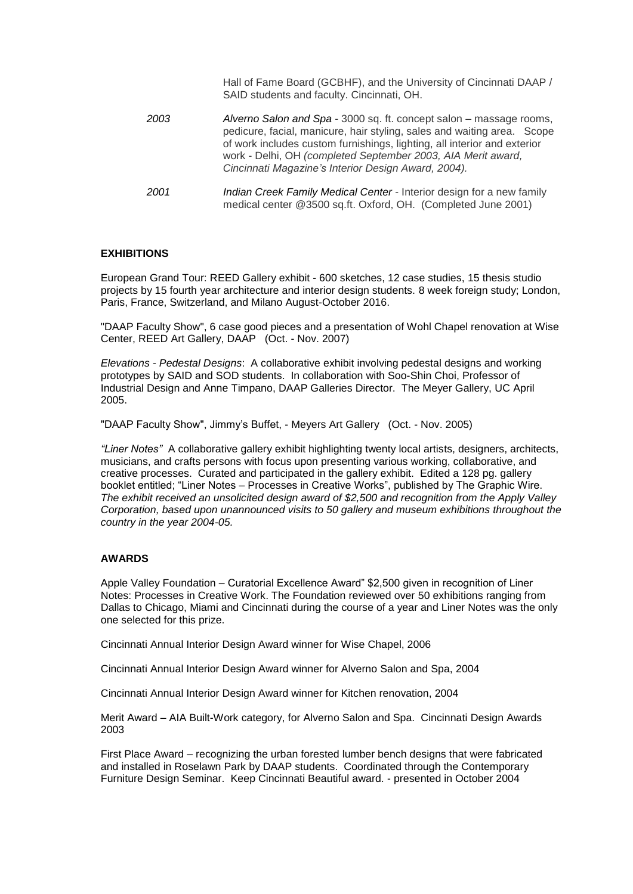|      | Hall of Fame Board (GCBHF), and the University of Cincinnati DAAP /<br>SAID students and faculty. Cincinnati, OH.                                                                                                                                                                                                                                 |
|------|---------------------------------------------------------------------------------------------------------------------------------------------------------------------------------------------------------------------------------------------------------------------------------------------------------------------------------------------------|
| 2003 | Alverno Salon and Spa - 3000 sq. ft. concept salon – massage rooms,<br>pedicure, facial, manicure, hair styling, sales and waiting area. Scope<br>of work includes custom furnishings, lighting, all interior and exterior<br>work - Delhi, OH (completed September 2003, AIA Merit award,<br>Cincinnati Magazine's Interior Design Award, 2004). |
| 2001 | Indian Creek Family Medical Center - Interior design for a new family<br>medical center @3500 sq.ft. Oxford, OH. (Completed June 2001)                                                                                                                                                                                                            |

# **EXHIBITIONS**

European Grand Tour: REED Gallery exhibit - 600 sketches, 12 case studies, 15 thesis studio projects by 15 fourth year architecture and interior design students. 8 week foreign study; London, Paris, France, Switzerland, and Milano August-October 2016.

"DAAP Faculty Show", 6 case good pieces and a presentation of Wohl Chapel renovation at Wise Center, REED Art Gallery, DAAP (Oct. - Nov. 2007)

*Elevations - Pedestal Designs*: A collaborative exhibit involving pedestal designs and working prototypes by SAID and SOD students. In collaboration with Soo-Shin Choi, Professor of Industrial Design and Anne Timpano, DAAP Galleries Director. The Meyer Gallery, UC April 2005.

"DAAP Faculty Show", Jimmy's Buffet, - Meyers Art Gallery (Oct. - Nov. 2005)

*"Liner Notes"* A collaborative gallery exhibit highlighting twenty local artists, designers, architects, musicians, and crafts persons with focus upon presenting various working, collaborative, and creative processes. Curated and participated in the gallery exhibit. Edited a 128 pg. gallery booklet entitled; "Liner Notes – Processes in Creative Works", published by The Graphic Wire. *The exhibit received an unsolicited design award of \$2,500 and recognition from the Apply Valley Corporation, based upon unannounced visits to 50 gallery and museum exhibitions throughout the country in the year 2004-05.*

# **AWARDS**

Apple Valley Foundation – Curatorial Excellence Award" \$2,500 given in recognition of Liner Notes: Processes in Creative Work. The Foundation reviewed over 50 exhibitions ranging from Dallas to Chicago, Miami and Cincinnati during the course of a year and Liner Notes was the only one selected for this prize.

Cincinnati Annual Interior Design Award winner for Wise Chapel, 2006

Cincinnati Annual Interior Design Award winner for Alverno Salon and Spa, 2004

Cincinnati Annual Interior Design Award winner for Kitchen renovation, 2004

Merit Award – AIA Built-Work category, for Alverno Salon and Spa. Cincinnati Design Awards 2003

First Place Award – recognizing the urban forested lumber bench designs that were fabricated and installed in Roselawn Park by DAAP students. Coordinated through the Contemporary Furniture Design Seminar. Keep Cincinnati Beautiful award. - presented in October 2004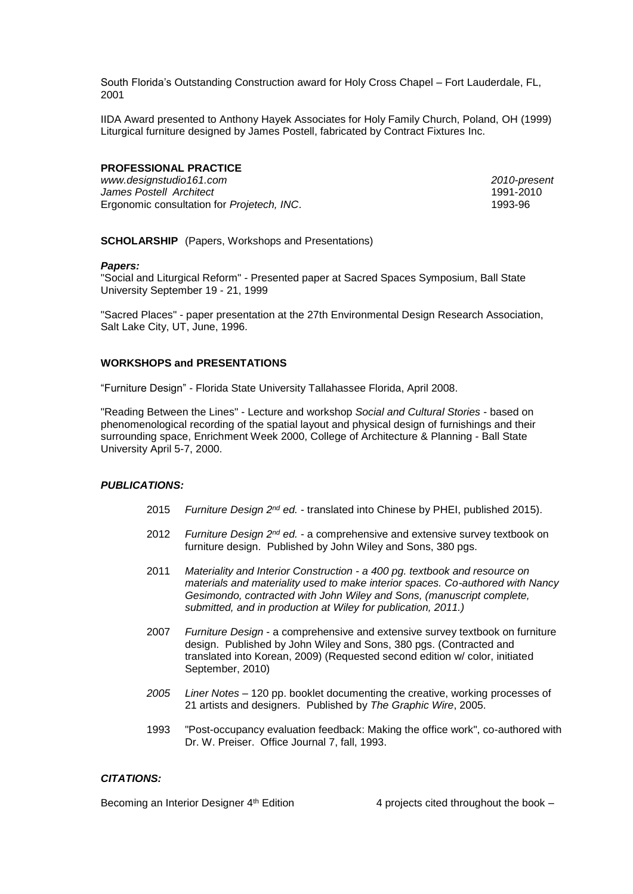South Florida's Outstanding Construction award for Holy Cross Chapel – Fort Lauderdale, FL, 2001

IIDA Award presented to Anthony Hayek Associates for Holy Family Church, Poland, OH (1999) Liturgical furniture designed by James Postell, fabricated by Contract Fixtures Inc.

# **PROFESSIONAL PRACTICE**

*www.designstudio161.com 2010-present* **James Postell Architect** Ergonomic consultation for *Projetech, INC*. 1993-96

**SCHOLARSHIP** (Papers, Workshops and Presentations)

#### *Papers:*

"Social and Liturgical Reform" - Presented paper at Sacred Spaces Symposium, Ball State University September 19 - 21, 1999

"Sacred Places" - paper presentation at the 27th Environmental Design Research Association, Salt Lake City, UT, June, 1996.

#### **WORKSHOPS and PRESENTATIONS**

"Furniture Design" - Florida State University Tallahassee Florida, April 2008.

"Reading Between the Lines" - Lecture and workshop *Social and Cultural Stories* - based on phenomenological recording of the spatial layout and physical design of furnishings and their surrounding space, Enrichment Week 2000, College of Architecture & Planning - Ball State University April 5-7, 2000.

# *PUBLICATIONS:*

- 2015 *Furniture Design 2nd ed.* translated into Chinese by PHEI, published 2015).
- 2012 *Furniture Design 2nd ed.* a comprehensive and extensive survey textbook on furniture design. Published by John Wiley and Sons, 380 pgs.
- 2011 *Materiality and Interior Construction - a 400 pg. textbook and resource on materials and materiality used to make interior spaces. Co-authored with Nancy Gesimondo, contracted with John Wiley and Sons, (manuscript complete, submitted, and in production at Wiley for publication, 2011.)*
- 2007 *Furniture Design* a comprehensive and extensive survey textbook on furniture design. Published by John Wiley and Sons, 380 pgs. (Contracted and translated into Korean, 2009) (Requested second edition w/ color, initiated September, 2010)
- *2005 Liner Notes* 120 pp. booklet documenting the creative, working processes of 21 artists and designers. Published by *The Graphic Wire*, 2005.
- 1993 "Post-occupancy evaluation feedback: Making the office work", co-authored with Dr. W. Preiser. Office Journal 7, fall, 1993.

# *CITATIONS:*

Becoming an Interior Designer 4<sup>th</sup> Edition 4 **4** projects cited throughout the book –